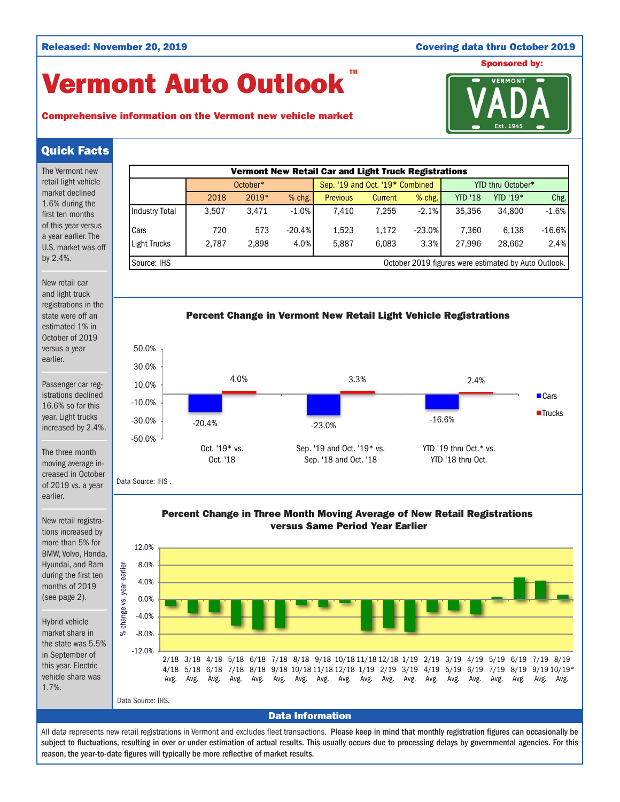### Released: November 20, 2019 Covering data thru October 2019

# Vermont Auto Outlook TM



## Comprehensive information on the Vermont new vehicle market

## Quick Facts

The Vermont new retail light vehicle market declined 1.6% during the first ten months of this year versus a year earlier. The U.S. market was off by 2.4%.

New retail car and light truck registrations in the state were off an estimated 1% in October of 2019 versus a year earlier.

Passenger car registrations declined 16.6% so far this year. Light trucks increased by 2.4%.

The three month moving average increased in October of 2019 vs. a year earlier.

Data Source: IHS .

New retail registrations increased by more than 5% for BMW, Volvo, Honda, Hyundai, and Ram during the first ten months of 2019 (see page 2).

Hybrid vehicle market share in the state was 5.5% in September of this year. Electric vehicle share was 1.7%.





Percent Change in Three Month Moving Average of New Retail Registrations versus Same Period Year Earlier



All data represents new retail registrations in Vermont and excludes fleet transactions. Please keep in mind that monthly registration figures can occasionally be subject to fluctuations, resulting in over or under estimation of actual results. This usually occurs due to processing delays by governmental agencies. For this reason, the year-to-date figures will typically be more reflective of market results.